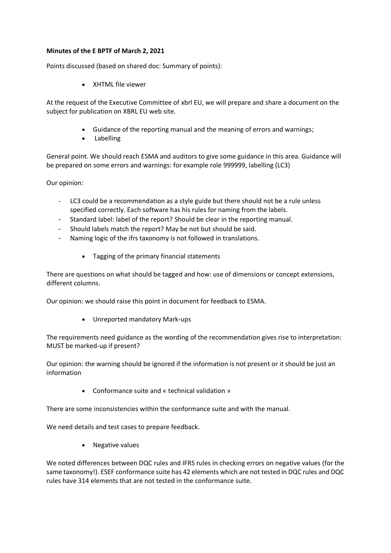## **Minutes of the E BPTF of March 2, 2021**

Points discussed (based on shared doc: Summary of points):

• XHTML file viewer

At the request of the Executive Committee of xbrl EU, we will prepare and share a document on the subject for publication on XBRL EU web site.

- Guidance of the reporting manual and the meaning of errors and warnings;
- Labelling

General point. We should reach ESMA and auditors to give some guidance in this area. Guidance will be prepared on some errors and warnings: for example role 999999, labelling (LC3)

Our opinion:

- LC3 could be a recommendation as a style guide but there should not be a rule unless specified correctly. Each software has his rules for naming from the labels.
- Standard label: label of the report? Should be clear in the reporting manual.
- Should labels match the report? May be not but should be said.
- Naming logic of the ifrs taxonomy is not followed in translations.
	- Tagging of the primary financial statements

There are questions on what should be tagged and how: use of dimensions or concept extensions, different columns.

Our opinion: we should raise this point in document for feedback to ESMA.

• Unreported mandatory Mark-ups

The requirements need guidance as the wording of the recommendation gives rise to interpretation: MUST be marked-up if present?

Our opinion: the warning should be ignored if the information is not present or it should be just an information

• Conformance suite and « technical validation »

There are some inconsistencies within the conformance suite and with the manual.

We need details and test cases to prepare feedback.

• Negative values

We noted differences between DQC rules and IFRS rules in checking errors on negative values (for the same taxonomy!). ESEF conformance suite has 42 elements which are not tested in DQC rules and DQC rules have 314 elements that are not tested in the conformance suite.